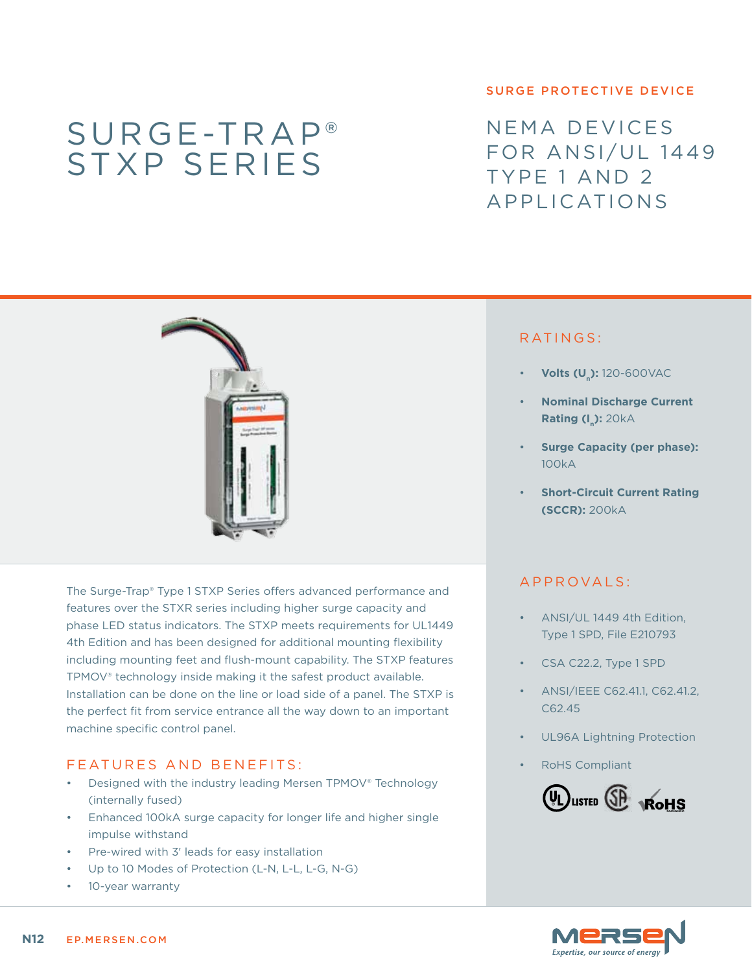# Surge-Trap® STXP series

#### surge protective device

NEMA devices FOR ANSI/UL 1449 Type 1 and 2 Applications



The Surge-Trap® Type 1 STXP Series offers advanced performance and features over the STXR series including higher surge capacity and phase LED status indicators. The STXP meets requirements for UL1449 4th Edition and has been designed for additional mounting flexibility including mounting feet and flush-mount capability. The STXP features TPMOV® technology inside making it the safest product available. Installation can be done on the line or load side of a panel. The STXP is the perfect fit from service entrance all the way down to an important machine specific control panel.

### FEATURES AND BENEFITS:

- Designed with the industry leading Mersen TPMOV® Technology (internally fused)
- Enhanced 100kA surge capacity for longer life and higher single impulse withstand
- • Pre-wired with 3' leads for easy installation
- Up to 10 Modes of Protection (L-N, L-L, L-G, N-G)
- 10-year warranty

## RATINGS:

- **Volts (U<sub>n</sub>):** 120-600VAC
- **Nominal Discharge Current Rating (I\_): 20kA**
- **Surge Capacity (per phase):** 100kA
- **Short-Circuit Current Rating (SCCR):** 200kA

#### a pproval s :

- ANSI/UL 1449 4th Edition, Type 1 SPD, File E210793
- CSA C22.2, Type 1 SPD
- ANSI/IEEE C62.41.1, C62.41.2, C62.45
- UL96A Lightning Protection
- **RoHS Compliant**